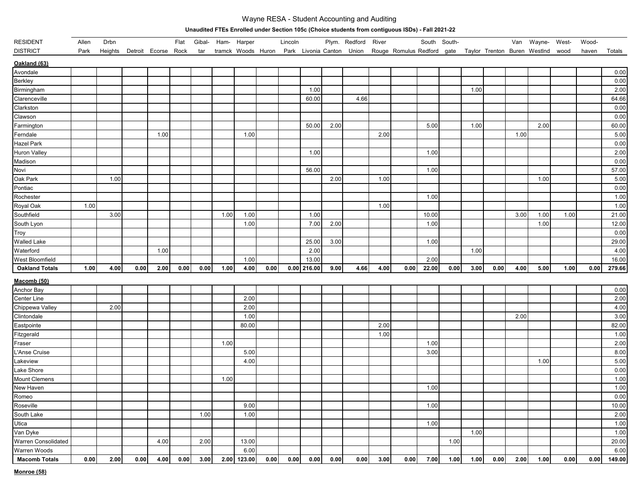## Wayne RESA - Student Accounting and Auditing

## **Unaudited FTEs Enrolled under Section 105c (Choice students from contiguous ISDs) - Fall 2021-22**

| <b>RESIDENT</b>       | Allen | Drbn    |                     |      | Flat | Gibal- |      | Ham- Harper        |      | Lincoln |               |      | Plym. Redford             | River |                       |       | South South- |      |      | Van  | Wayne- West-                 |      | Wood- |        |
|-----------------------|-------|---------|---------------------|------|------|--------|------|--------------------|------|---------|---------------|------|---------------------------|-------|-----------------------|-------|--------------|------|------|------|------------------------------|------|-------|--------|
| <b>DISTRICT</b>       | Park  | Heights | Detroit Ecorse Rock |      |      | tar    |      | tramck Woods Huron |      |         |               |      | Park Livonia Canton Union |       | Rouge Romulus Redford |       | gate         |      |      |      | Taylor Trenton Buren WestInd | wood | haven | Totals |
| Oakland (63)          |       |         |                     |      |      |        |      |                    |      |         |               |      |                           |       |                       |       |              |      |      |      |                              |      |       |        |
| Avondale              |       |         |                     |      |      |        |      |                    |      |         |               |      |                           |       |                       |       |              |      |      |      |                              |      |       | 0.00   |
| <b>Berkley</b>        |       |         |                     |      |      |        |      |                    |      |         |               |      |                           |       |                       |       |              |      |      |      |                              |      |       | 0.00   |
| Birmingham            |       |         |                     |      |      |        |      |                    |      |         | 1.00          |      |                           |       |                       |       |              | 1.00 |      |      |                              |      |       | 2.00   |
| Clarenceville         |       |         |                     |      |      |        |      |                    |      |         | 60.00         |      | 4.66                      |       |                       |       |              |      |      |      |                              |      |       | 64.66  |
| Clarkston             |       |         |                     |      |      |        |      |                    |      |         |               |      |                           |       |                       |       |              |      |      |      |                              |      |       | 0.00   |
| Clawson               |       |         |                     |      |      |        |      |                    |      |         |               |      |                           |       |                       |       |              |      |      |      |                              |      |       | 0.00   |
| Farmington            |       |         |                     |      |      |        |      |                    |      |         | 50.00         | 2.00 |                           |       |                       | 5.00  |              | 1.00 |      |      | 2.00                         |      |       | 60.00  |
| Ferndale              |       |         |                     | 1.00 |      |        |      | 1.00               |      |         |               |      |                           | 2.00  |                       |       |              |      |      | 1.00 |                              |      |       | 5.00   |
| Hazel Park            |       |         |                     |      |      |        |      |                    |      |         |               |      |                           |       |                       |       |              |      |      |      |                              |      |       | 0.00   |
| Huron Valley          |       |         |                     |      |      |        |      |                    |      |         | 1.00          |      |                           |       |                       | 1.00  |              |      |      |      |                              |      |       | 2.00   |
| Madison               |       |         |                     |      |      |        |      |                    |      |         |               |      |                           |       |                       |       |              |      |      |      |                              |      |       | 0.00   |
| Novi                  |       |         |                     |      |      |        |      |                    |      |         | 56.00         |      |                           |       |                       | 1.00  |              |      |      |      |                              |      |       | 57.00  |
| Oak Park              |       | 1.00    |                     |      |      |        |      |                    |      |         |               | 2.00 |                           | 1.00  |                       |       |              |      |      |      | 1.00                         |      |       | 5.00   |
| Pontiac               |       |         |                     |      |      |        |      |                    |      |         |               |      |                           |       |                       |       |              |      |      |      |                              |      |       | 0.00   |
| Rochester             |       |         |                     |      |      |        |      |                    |      |         |               |      |                           |       |                       | 1.00  |              |      |      |      |                              |      |       | 1.00   |
| Royal Oak             | 1.00  |         |                     |      |      |        |      |                    |      |         |               |      |                           | 1.00  |                       |       |              |      |      |      |                              |      |       | 1.00   |
| Southfield            |       | 3.00    |                     |      |      |        | 1.00 | 1.00               |      |         | 1.00          |      |                           |       |                       | 10.00 |              |      |      | 3.00 | 1.00                         | 1.00 |       | 21.00  |
| South Lyon            |       |         |                     |      |      |        |      | 1.00               |      |         | 7.00          | 2.00 |                           |       |                       | 1.00  |              |      |      |      | 1.00                         |      |       | 12.00  |
| Troy                  |       |         |                     |      |      |        |      |                    |      |         |               |      |                           |       |                       |       |              |      |      |      |                              |      |       | 0.00   |
| <b>Walled Lake</b>    |       |         |                     |      |      |        |      |                    |      |         | 25.00         | 3.00 |                           |       |                       | 1.00  |              |      |      |      |                              |      |       | 29.00  |
| Waterford             |       |         |                     | 1.00 |      |        |      |                    |      |         | 2.00          |      |                           |       |                       |       |              | 1.00 |      |      |                              |      |       | 4.00   |
| West Bloomfield       |       |         |                     |      |      |        |      | 1.00               |      |         | 13.00         |      |                           |       |                       | 2.00  |              |      |      |      |                              |      |       | 16.00  |
| <b>Oakland Totals</b> | 1.00  | 4.00    | 0.00                | 2.00 | 0.00 | 0.00   | 1.00 | 4.00               | 0.00 |         | $0.00$ 216.00 | 9.00 | 4.66                      | 4.00  | 0.00                  | 22.00 | 0.00         | 3.00 | 0.00 | 4.00 | 5.00                         | 1.00 | 0.00  | 279.66 |
| Macomb (50)           |       |         |                     |      |      |        |      |                    |      |         |               |      |                           |       |                       |       |              |      |      |      |                              |      |       |        |
| Anchor Bay            |       |         |                     |      |      |        |      |                    |      |         |               |      |                           |       |                       |       |              |      |      |      |                              |      |       | 0.00   |
| Center Line           |       |         |                     |      |      |        |      | 2.00               |      |         |               |      |                           |       |                       |       |              |      |      |      |                              |      |       | 2.00   |
| Chippewa Valley       |       | 2.00    |                     |      |      |        |      | 2.00               |      |         |               |      |                           |       |                       |       |              |      |      |      |                              |      |       | 4.00   |
| Clintondale           |       |         |                     |      |      |        |      | 1.00               |      |         |               |      |                           |       |                       |       |              |      |      | 2.00 |                              |      |       | 3.00   |
| Eastpointe            |       |         |                     |      |      |        |      | 80.00              |      |         |               |      |                           | 2.00  |                       |       |              |      |      |      |                              |      |       | 82.00  |
| Fitzgerald            |       |         |                     |      |      |        |      |                    |      |         |               |      |                           | 1.00  |                       |       |              |      |      |      |                              |      |       | 1.00   |
| Fraser                |       |         |                     |      |      |        | 1.00 |                    |      |         |               |      |                           |       |                       | 1.00  |              |      |      |      |                              |      |       | 2.00   |
| L'Anse Cruise         |       |         |                     |      |      |        |      | 5.00               |      |         |               |      |                           |       |                       | 3.00  |              |      |      |      |                              |      |       | 8.00   |
| Lakeview              |       |         |                     |      |      |        |      | 4.00               |      |         |               |      |                           |       |                       |       |              |      |      |      | 1.00                         |      |       | 5.00   |
| Lake Shore            |       |         |                     |      |      |        |      |                    |      |         |               |      |                           |       |                       |       |              |      |      |      |                              |      |       | 0.00   |
| <b>Mount Clemens</b>  |       |         |                     |      |      |        | 1.00 |                    |      |         |               |      |                           |       |                       |       |              |      |      |      |                              |      |       | 1.00   |
| New Haven             |       |         |                     |      |      |        |      |                    |      |         |               |      |                           |       |                       | 1.00  |              |      |      |      |                              |      |       | 1.00   |
| Romeo                 |       |         |                     |      |      |        |      |                    |      |         |               |      |                           |       |                       |       |              |      |      |      |                              |      |       | 0.00   |
| Roseville             |       |         |                     |      |      |        |      | 9.00               |      |         |               |      |                           |       |                       | 1.00  |              |      |      |      |                              |      |       | 10.00  |
| South Lake            |       |         |                     |      |      | 1.00   |      | 1.00               |      |         |               |      |                           |       |                       |       |              |      |      |      |                              |      |       | 2.00   |
| Utica                 |       |         |                     |      |      |        |      |                    |      |         |               |      |                           |       |                       | 1.00  |              |      |      |      |                              |      |       | 1.00   |
| Van Dyke              |       |         |                     |      |      |        |      |                    |      |         |               |      |                           |       |                       |       |              | 1.00 |      |      |                              |      |       | 1.00   |
| Warren Consolidated   |       |         |                     | 4.00 |      | 2.00   |      | 13.00              |      |         |               |      |                           |       |                       |       | 1.00         |      |      |      |                              |      |       | 20.00  |
| Warren Woods          |       |         |                     |      |      |        |      | 6.00               |      |         |               |      |                           |       |                       |       |              |      |      |      |                              |      |       | 6.00   |
| <b>Macomb Totals</b>  | 0.00  | 2.00    | 0.00                | 4.00 | 0.00 | 3.00   |      | 2.00 123.00        | 0.00 | 0.00    | 0.00          | 0.00 | 0.00                      | 3.00  | 0.00                  | 7.00  | 1.00         | 1.00 | 0.00 | 2.00 | 1.00                         | 0.00 | 0.00  | 149.00 |

**Monroe (58)**